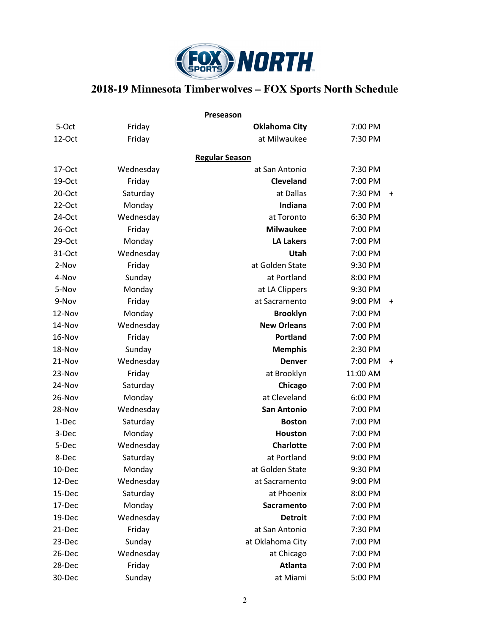

## **2018-19 Minnesota Timberwolves – FOX Sports North Schedule**

|        |           | Preseason             |          |           |
|--------|-----------|-----------------------|----------|-----------|
| 5-Oct  | Friday    | <b>Oklahoma City</b>  | 7:00 PM  |           |
| 12-Oct | Friday    | at Milwaukee          | 7:30 PM  |           |
|        |           | <b>Regular Season</b> |          |           |
| 17-Oct | Wednesday | at San Antonio        | 7:30 PM  |           |
| 19-Oct | Friday    | <b>Cleveland</b>      | 7:00 PM  |           |
| 20-Oct | Saturday  | at Dallas             | 7:30 PM  | $\ddot{}$ |
| 22-Oct | Monday    | Indiana               | 7:00 PM  |           |
| 24-Oct | Wednesday | at Toronto            | 6:30 PM  |           |
| 26-Oct | Friday    | <b>Milwaukee</b>      | 7:00 PM  |           |
| 29-Oct | Monday    | <b>LA Lakers</b>      | 7:00 PM  |           |
| 31-Oct | Wednesday | Utah                  | 7:00 PM  |           |
| 2-Nov  | Friday    | at Golden State       | 9:30 PM  |           |
| 4-Nov  | Sunday    | at Portland           | 8:00 PM  |           |
| 5-Nov  | Monday    | at LA Clippers        | 9:30 PM  |           |
| 9-Nov  | Friday    | at Sacramento         | 9:00 PM  | $\ddot{}$ |
| 12-Nov | Monday    | <b>Brooklyn</b>       | 7:00 PM  |           |
| 14-Nov | Wednesday | <b>New Orleans</b>    | 7:00 PM  |           |
| 16-Nov | Friday    | Portland              | 7:00 PM  |           |
| 18-Nov | Sunday    | <b>Memphis</b>        | 2:30 PM  |           |
| 21-Nov | Wednesday | <b>Denver</b>         | 7:00 PM  | $\ddot{}$ |
| 23-Nov | Friday    | at Brooklyn           | 11:00 AM |           |
| 24-Nov | Saturday  | Chicago               | 7:00 PM  |           |
| 26-Nov | Monday    | at Cleveland          | 6:00 PM  |           |
| 28-Nov | Wednesday | <b>San Antonio</b>    | 7:00 PM  |           |
| 1-Dec  | Saturday  | <b>Boston</b>         | 7:00 PM  |           |
| 3-Dec  | Monday    | <b>Houston</b>        | 7:00 PM  |           |
| 5-Dec  | Wednesday | <b>Charlotte</b>      | 7:00 PM  |           |
| 8-Dec  | Saturday  | at Portland           | 9:00 PM  |           |
| 10-Dec | Monday    | at Golden State       | 9:30 PM  |           |
| 12-Dec | Wednesday | at Sacramento         | 9:00 PM  |           |
| 15-Dec | Saturday  | at Phoenix            | 8:00 PM  |           |
| 17-Dec | Monday    | Sacramento            | 7:00 PM  |           |
| 19-Dec | Wednesday | <b>Detroit</b>        | 7:00 PM  |           |
| 21-Dec | Friday    | at San Antonio        | 7:30 PM  |           |
| 23-Dec | Sunday    | at Oklahoma City      | 7:00 PM  |           |
| 26-Dec | Wednesday | at Chicago            | 7:00 PM  |           |
| 28-Dec | Friday    | <b>Atlanta</b>        | 7:00 PM  |           |
| 30-Dec | Sunday    | at Miami              | 5:00 PM  |           |